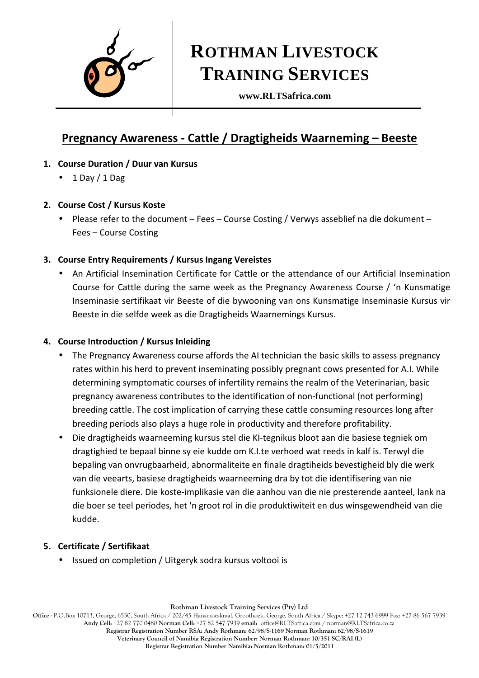

# **ROTHMAN LIVESTOCK TRAINING SERVICES**

**www.RLTSafrica.com** 

# **Pregnancy Awareness - Cattle / Dragtigheids Waarneming – Beeste**

- **1. Course Duration / Duur van Kursus** 
	- $\bullet$  1 Day / 1 Dag

# **2. Course Cost / Kursus Koste**

- Please refer to the document Fees Course Costing / Verwys asseblief na die dokument Fees – Course Costing
- **3. Course Entry Requirements / Kursus Ingang Vereistes**
	- An Artificial Insemination Certificate for Cattle or the attendance of our Artificial Insemination Course for Cattle during the same week as the Pregnancy Awareness Course / 'n Kunsmatige Inseminasie sertifikaat vir Beeste of die bywooning van ons Kunsmatige Inseminasie Kursus vir Beeste in die selfde week as die Dragtigheids Waarnemings Kursus.

## **4. Course Introduction / Kursus Inleiding**

- The Pregnancy Awareness course affords the AI technician the basic skills to assess pregnancy rates within his herd to prevent inseminating possibly pregnant cows presented for A.I. While determining symptomatic courses of infertility remains the realm of the Veterinarian, basic pregnancy awareness contributes to the identification of non-functional (not performing) breeding cattle. The cost implication of carrying these cattle consuming resources long after breeding periods also plays a huge role in productivity and therefore profitability.
- Die dragtigheids waarneeming kursus stel die KI-tegnikus bloot aan die basiese tegniek om dragtighied te bepaal binne sy eie kudde om K.I.te verhoed wat reeds in kalf is. Terwyl die bepaling van onvrugbaarheid, abnormaliteite en finale dragtiheids bevestigheid bly die werk van die veearts, basiese dragtigheids waarneeming dra by tot die identifisering van nie funksionele diere. Die koste-implikasie van die aanhou van die nie presterende aanteel, lank na die boer se teel periodes, het 'n groot rol in die produktiwiteit en dus winsgewendheid van die kudde.

# **5. Certificate / Sertifikaat**

• Issued on completion / Uitgeryk sodra kursus voltooi is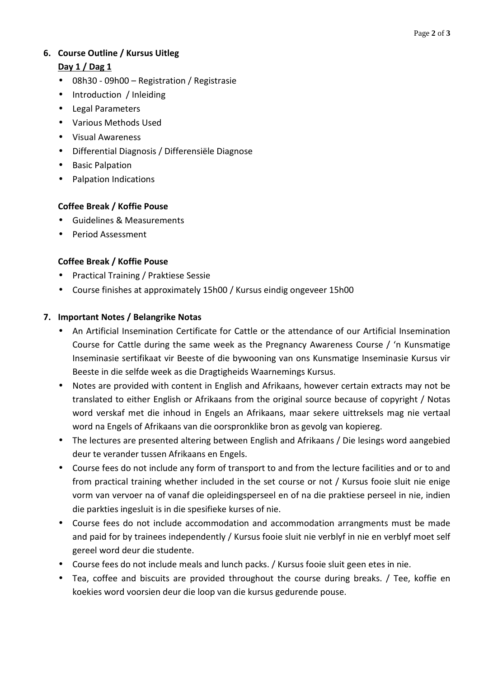# **6. Course Outline / Kursus Uitleg**

## **Day 1 / Dag 1**

- 08h30 09h00 Registration / Registrasie
- Introduction / Inleiding
- Legal Parameters
- Various Methods Used
- Visual Awareness
- Differential Diagnosis / Differensiële Diagnose
- Basic Palpation
- Palpation Indications

## **Coffee Break / Koffie Pouse**

- Guidelines & Measurements
- Period Assessment

## **Coffee Break / Koffie Pouse**

- Practical Training / Praktiese Sessie
- Course finishes at approximately 15h00 / Kursus eindig ongeveer 15h00

#### **7. Important Notes / Belangrike Notas**

- An Artificial Insemination Certificate for Cattle or the attendance of our Artificial Insemination Course for Cattle during the same week as the Pregnancy Awareness Course / 'n Kunsmatige Inseminasie sertifikaat vir Beeste of die bywooning van ons Kunsmatige Inseminasie Kursus vir Beeste in die selfde week as die Dragtigheids Waarnemings Kursus.
- Notes are provided with content in English and Afrikaans, however certain extracts may not be translated to either English or Afrikaans from the original source because of copyright / Notas word verskaf met die inhoud in Engels an Afrikaans, maar sekere uittreksels mag nie vertaal word na Engels of Afrikaans van die oorspronklike bron as gevolg van kopiereg.
- The lectures are presented altering between English and Afrikaans / Die lesings word aangebied deur te verander tussen Afrikaans en Engels.
- Course fees do not include any form of transport to and from the lecture facilities and or to and from practical training whether included in the set course or not / Kursus fooie sluit nie enige vorm van vervoer na of vanaf die opleidingsperseel en of na die praktiese perseel in nie, indien die parkties ingesluit is in die spesifieke kurses of nie.
- Course fees do not include accommodation and accommodation arrangments must be made and paid for by trainees independently / Kursus fooie sluit nie verblyf in nie en verblyf moet self gereel word deur die studente.
- Course fees do not include meals and lunch packs. / Kursus fooie sluit geen etes in nie.
- Tea, coffee and biscuits are provided throughout the course during breaks. / Tee, koffie en koekies word voorsien deur die loop van die kursus gedurende pouse.